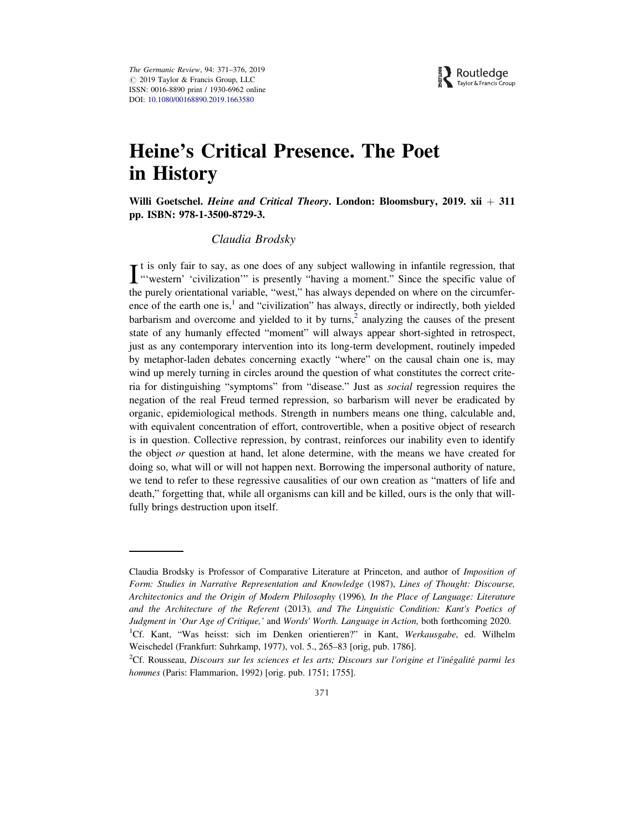

# Heine's Critical Presence. The Poet in History

Willi Goetschel. Heine and Critical Theory. London: Bloomsbury, 2019. xii  $+$  311 pp. ISBN: 978-1-3500-8729-3.

## Claudia Brodsky

It is only fair to say, as one does of any subject wallowing in infantile regression, that "vestern' 'civilization'" is presently "having a moment." Since the specific value of t is only fair to say, as one does of any subject wallowing in infantile regression, that the purely orientational variable, "west," has always depended on where on the circumference of the earth one is, $<sup>1</sup>$  and "civilization" has always, directly or indirectly, both yielded</sup> barbarism and overcome and yielded to it by turns, $<sup>2</sup>$  analyzing the causes of the present</sup> state of any humanly effected "moment" will always appear short-sighted in retrospect, just as any contemporary intervention into its long-term development, routinely impeded by metaphor-laden debates concerning exactly "where" on the causal chain one is, may wind up merely turning in circles around the question of what constitutes the correct criteria for distinguishing "symptoms" from "disease." Just as social regression requires the negation of the real Freud termed repression, so barbarism will never be eradicated by organic, epidemiological methods. Strength in numbers means one thing, calculable and, with equivalent concentration of effort, controvertible, when a positive object of research is in question. Collective repression, by contrast, reinforces our inability even to identify the object or question at hand, let alone determine, with the means we have created for doing so, what will or will not happen next. Borrowing the impersonal authority of nature, we tend to refer to these regressive causalities of our own creation as "matters of life and death," forgetting that, while all organisms can kill and be killed, ours is the only that willfully brings destruction upon itself.

Claudia Brodsky is Professor of Comparative Literature at Princeton, and author of Imposition of Form: Studies in Narrative Representation and Knowledge (1987), Lines of Thought: Discourse, Architectonics and the Origin of Modern Philosophy (1996), In the Place of Language: Literature and the Architecture of the Referent (2013), and The Linguistic Condition: Kant's Poetics of Judgment in 'Our Age of Critique,' and Words' Worth. Language in Action, both forthcoming 2020. <sup>1</sup>Cf. Kant, "Was heisst: sich im Denken orientieren?" in Kant, Werkausgabe, ed. Wilhelm Weischedel (Frankfurt: Suhrkamp, 1977), vol. 5., 265–83 [orig, pub. 1786].

 ${}^{2}$ Cf. Rousseau, Discours sur les sciences et les arts; Discours sur l'origine et l'inégalité parmi les hommes (Paris: Flammarion, 1992) [orig. pub. 1751; 1755].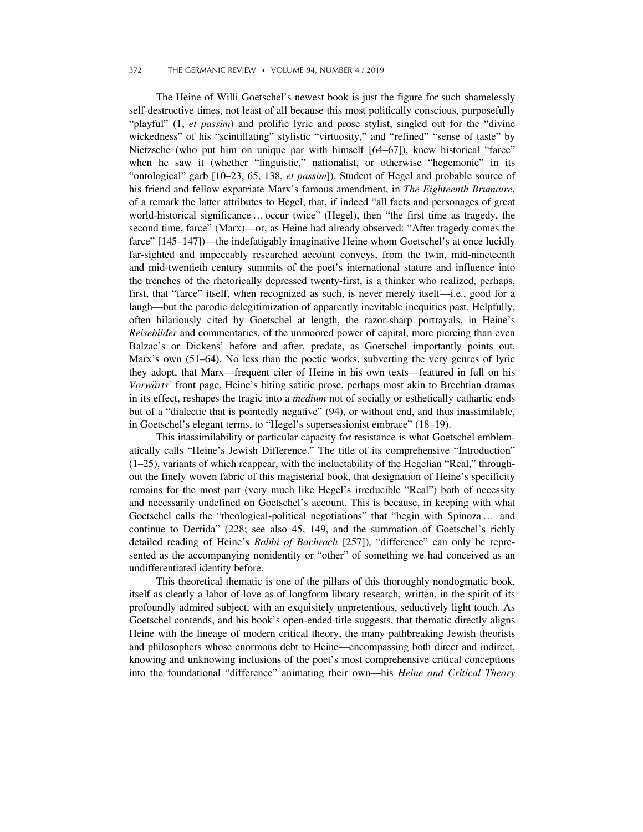#### 372 THE GERMANIC REVIEW ♦ VOLUME 94, NUMBER 4 / 2019

The Heine of Willi Goetschel's newest book is just the figure for such shamelessly self-destructive times, not least of all because this most politically conscious, purposefully "playful" (1, et passim) and prolific lyric and prose stylist, singled out for the "divine" wickedness" of his "scintillating" stylistic "virtuosity," and "refined" "sense of taste" by Nietzsche (who put him on unique par with himself [64–67]), knew historical "farce" when he saw it (whether "linguistic," nationalist, or otherwise "hegemonic" in its "ontological" garb [10–23, 65, 138, et passim]). Student of Hegel and probable source of his friend and fellow expatriate Marx's famous amendment, in The Eighteenth Brumaire, of a remark the latter attributes to Hegel, that, if indeed "all facts and personages of great world-historical significance…occur twice" (Hegel), then "the first time as tragedy, the second time, farce" (Marx)—or, as Heine had already observed: "After tragedy comes the farce" [145–147])—the indefatigably imaginative Heine whom Goetschel's at once lucidly far-sighted and impeccably researched account conveys, from the twin, mid-nineteenth and mid-twentieth century summits of the poet's international stature and influence into the trenches of the rhetorically depressed twenty-first, is a thinker who realized, perhaps, first, that "farce" itself, when recognized as such, is never merely itself—i.e., good for a laugh—but the parodic delegitimization of apparently inevitable inequities past. Helpfully, often hilariously cited by Goetschel at length, the razor-sharp portrayals, in Heine's Reisebilder and commentaries, of the unmoored power of capital, more piercing than even Balzac's or Dickens' before and after, predate, as Goetschel importantly points out, Marx's own (51–64). No less than the poetic works, subverting the very genres of lyric they adopt, that Marx—frequent citer of Heine in his own texts—featured in full on his Vorwärts' front page, Heine's biting satiric prose, perhaps most akin to Brechtian dramas in its effect, reshapes the tragic into a medium not of socially or esthetically cathartic ends but of a "dialectic that is pointedly negative" (94), or without end, and thus inassimilable, in Goetschel's elegant terms, to "Hegel's supersessionist embrace" (18–19).

This inassimilability or particular capacity for resistance is what Goetschel emblematically calls "Heine's Jewish Difference." The title of its comprehensive "Introduction" (1–25), variants of which reappear, with the ineluctability of the Hegelian "Real," throughout the finely woven fabric of this magisterial book, that designation of Heine's specificity remains for the most part (very much like Hegel's irreducible "Real") both of necessity and necessarily undefined on Goetschel's account. This is because, in keeping with what Goetschel calls the "theological-political negotiations" that "begin with Spinoza… and continue to Derrida" (228; see also 45, 149, and the summation of Goetschel's richly detailed reading of Heine's Rabbi of Bachrach [257]), "difference" can only be represented as the accompanying nonidentity or "other" of something we had conceived as an undifferentiated identity before.

This theoretical thematic is one of the pillars of this thoroughly nondogmatic book, itself as clearly a labor of love as of longform library research, written, in the spirit of its profoundly admired subject, with an exquisitely unpretentious, seductively light touch. As Goetschel contends, and his book's open-ended title suggests, that thematic directly aligns Heine with the lineage of modern critical theory, the many pathbreaking Jewish theorists and philosophers whose enormous debt to Heine—encompassing both direct and indirect, knowing and unknowing inclusions of the poet's most comprehensive critical conceptions into the foundational "difference" animating their own—his Heine and Critical Theory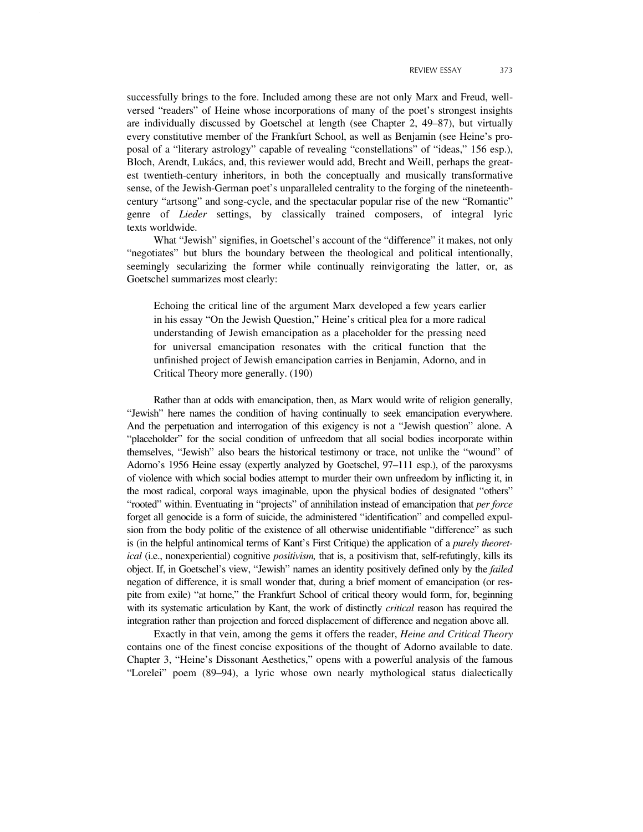successfully brings to the fore. Included among these are not only Marx and Freud, wellversed "readers" of Heine whose incorporations of many of the poet's strongest insights are individually discussed by Goetschel at length (see Chapter 2, 49–87), but virtually every constitutive member of the Frankfurt School, as well as Benjamin (see Heine's proposal of a "literary astrology" capable of revealing "constellations" of "ideas," 156 esp.), Bloch, Arendt, Lukács, and, this reviewer would add, Brecht and Weill, perhaps the greatest twentieth-century inheritors, in both the conceptually and musically transformative sense, of the Jewish-German poet's unparalleled centrality to the forging of the nineteenthcentury "artsong" and song-cycle, and the spectacular popular rise of the new "Romantic" genre of Lieder settings, by classically trained composers, of integral lyric texts worldwide.

What "Jewish" signifies, in Goetschel's account of the "difference" it makes, not only "negotiates" but blurs the boundary between the theological and political intentionally, seemingly secularizing the former while continually reinvigorating the latter, or, as Goetschel summarizes most clearly:

Echoing the critical line of the argument Marx developed a few years earlier in his essay "On the Jewish Question," Heine's critical plea for a more radical understanding of Jewish emancipation as a placeholder for the pressing need for universal emancipation resonates with the critical function that the unfinished project of Jewish emancipation carries in Benjamin, Adorno, and in Critical Theory more generally. (190)

Rather than at odds with emancipation, then, as Marx would write of religion generally, "Jewish" here names the condition of having continually to seek emancipation everywhere. And the perpetuation and interrogation of this exigency is not a "Jewish question" alone. A "placeholder" for the social condition of unfreedom that all social bodies incorporate within themselves, "Jewish" also bears the historical testimony or trace, not unlike the "wound" of Adorno's 1956 Heine essay (expertly analyzed by Goetschel, 97–111 esp.), of the paroxysms of violence with which social bodies attempt to murder their own unfreedom by inflicting it, in the most radical, corporal ways imaginable, upon the physical bodies of designated "others" "rooted" within. Eventuating in "projects" of annihilation instead of emancipation that per force forget all genocide is a form of suicide, the administered "identification" and compelled expulsion from the body politic of the existence of all otherwise unidentifiable "difference" as such is (in the helpful antinomical terms of Kant's First Critique) the application of a *purely theoret*ical (i.e., nonexperiential) cognitive *positivism*, that is, a positivism that, self-refutingly, kills its object. If, in Goetschel's view, "Jewish" names an identity positively defined only by the failed negation of difference, it is small wonder that, during a brief moment of emancipation (or respite from exile) "at home," the Frankfurt School of critical theory would form, for, beginning with its systematic articulation by Kant, the work of distinctly *critical* reason has required the integration rather than projection and forced displacement of difference and negation above all.

Exactly in that vein, among the gems it offers the reader, Heine and Critical Theory contains one of the finest concise expositions of the thought of Adorno available to date. Chapter 3, "Heine's Dissonant Aesthetics," opens with a powerful analysis of the famous "Lorelei" poem (89–94), a lyric whose own nearly mythological status dialectically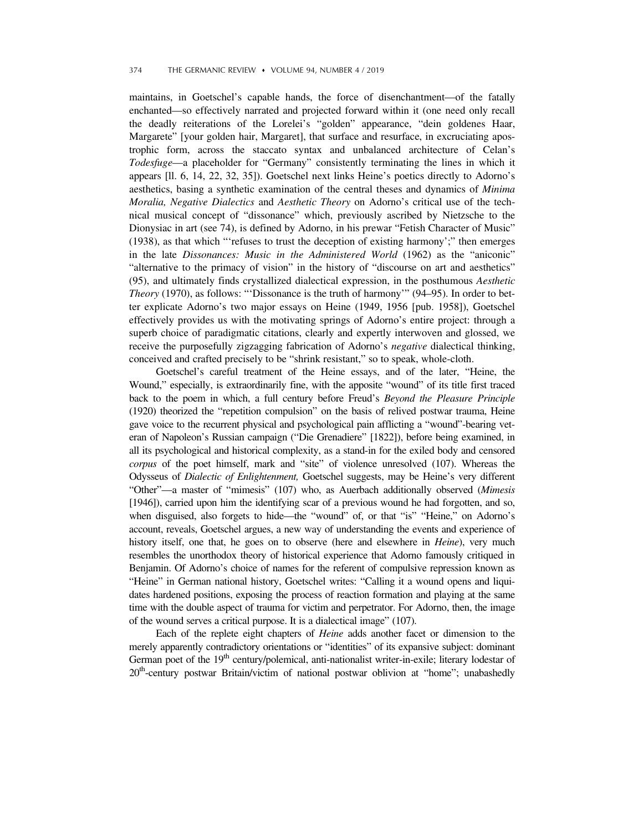#### 374 THE GERMANIC REVIEW ♦ VOLUME 94, NUMBER 4 / 2019

maintains, in Goetschel's capable hands, the force of disenchantment—of the fatally enchanted—so effectively narrated and projected forward within it (one need only recall the deadly reiterations of the Lorelei's "golden" appearance, "dein goldenes Haar, Margarete" [your golden hair, Margaret], that surface and resurface, in excruciating apostrophic form, across the staccato syntax and unbalanced architecture of Celan's Todesfuge—a placeholder for "Germany" consistently terminating the lines in which it appears [ll. 6, 14, 22, 32, 35]). Goetschel next links Heine's poetics directly to Adorno's aesthetics, basing a synthetic examination of the central theses and dynamics of Minima Moralia, Negative Dialectics and Aesthetic Theory on Adorno's critical use of the technical musical concept of "dissonance" which, previously ascribed by Nietzsche to the Dionysiac in art (see 74), is defined by Adorno, in his prewar "Fetish Character of Music" (1938), as that which "'refuses to trust the deception of existing harmony';" then emerges in the late Dissonances: Music in the Administered World (1962) as the "aniconic" "alternative to the primacy of vision" in the history of "discourse on art and aesthetics" (95), and ultimately finds crystallized dialectical expression, in the posthumous Aesthetic Theory (1970), as follows: "'Dissonance is the truth of harmony'" (94–95). In order to better explicate Adorno's two major essays on Heine (1949, 1956 [pub. 1958]), Goetschel effectively provides us with the motivating springs of Adorno's entire project: through a superb choice of paradigmatic citations, clearly and expertly interwoven and glossed, we receive the purposefully zigzagging fabrication of Adorno's negative dialectical thinking, conceived and crafted precisely to be "shrink resistant," so to speak, whole-cloth.

Goetschel's careful treatment of the Heine essays, and of the later, "Heine, the Wound," especially, is extraordinarily fine, with the apposite "wound" of its title first traced back to the poem in which, a full century before Freud's Beyond the Pleasure Principle (1920) theorized the "repetition compulsion" on the basis of relived postwar trauma, Heine gave voice to the recurrent physical and psychological pain afflicting a "wound"-bearing veteran of Napoleon's Russian campaign ("Die Grenadiere" [1822]), before being examined, in all its psychological and historical complexity, as a stand-in for the exiled body and censored corpus of the poet himself, mark and "site" of violence unresolved (107). Whereas the Odysseus of Dialectic of Enlightenment, Goetschel suggests, may be Heine's very different "Other"—a master of "mimesis" (107) who, as Auerbach additionally observed (Mimesis [1946]), carried upon him the identifying scar of a previous wound he had forgotten, and so, when disguised, also forgets to hide—the "wound" of, or that "is" "Heine," on Adorno's account, reveals, Goetschel argues, a new way of understanding the events and experience of history itself, one that, he goes on to observe (here and elsewhere in *Heine*), very much resembles the unorthodox theory of historical experience that Adorno famously critiqued in Benjamin. Of Adorno's choice of names for the referent of compulsive repression known as "Heine" in German national history, Goetschel writes: "Calling it a wound opens and liquidates hardened positions, exposing the process of reaction formation and playing at the same time with the double aspect of trauma for victim and perpetrator. For Adorno, then, the image of the wound serves a critical purpose. It is a dialectical image" (107).

Each of the replete eight chapters of Heine adds another facet or dimension to the merely apparently contradictory orientations or "identities" of its expansive subject: dominant German poet of the 19<sup>th</sup> century/polemical, anti-nationalist writer-in-exile; literary lodestar of 20<sup>th</sup>-century postwar Britain/victim of national postwar oblivion at "home"; unabashedly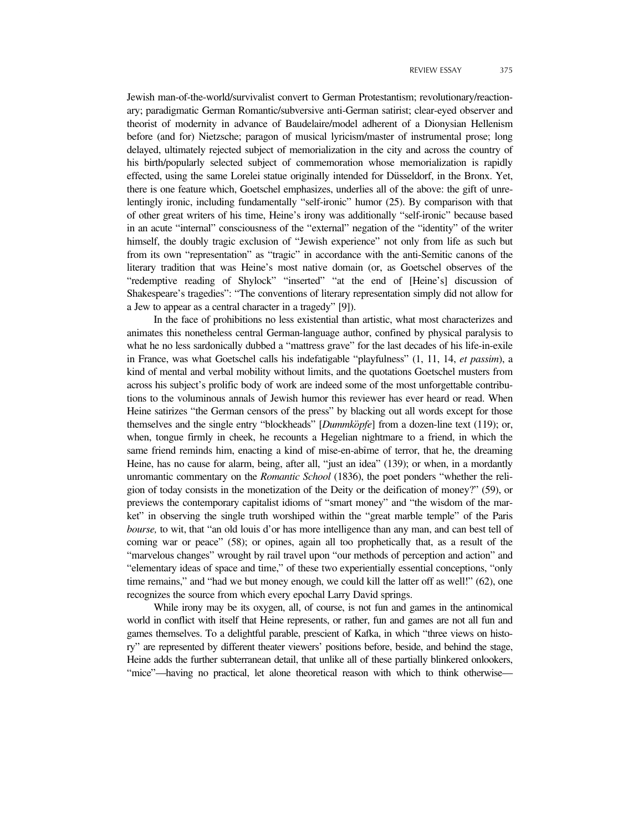Jewish man-of-the-world/survivalist convert to German Protestantism; revolutionary/reactionary; paradigmatic German Romantic/subversive anti-German satirist; clear-eyed observer and theorist of modernity in advance of Baudelaire/model adherent of a Dionysian Hellenism before (and for) Nietzsche; paragon of musical lyricism/master of instrumental prose; long delayed, ultimately rejected subject of memorialization in the city and across the country of his birth/popularly selected subject of commemoration whose memorialization is rapidly effected, using the same Lorelei statue originally intended for Düsseldorf, in the Bronx. Yet, there is one feature which, Goetschel emphasizes, underlies all of the above: the gift of unrelentingly ironic, including fundamentally "self-ironic" humor (25). By comparison with that of other great writers of his time, Heine's irony was additionally "self-ironic" because based in an acute "internal" consciousness of the "external" negation of the "identity" of the writer himself, the doubly tragic exclusion of "Jewish experience" not only from life as such but from its own "representation" as "tragic" in accordance with the anti-Semitic canons of the literary tradition that was Heine's most native domain (or, as Goetschel observes of the "redemptive reading of Shylock" "inserted" "at the end of [Heine's] discussion of Shakespeare's tragedies": "The conventions of literary representation simply did not allow for a Jew to appear as a central character in a tragedy" [9]).

In the face of prohibitions no less existential than artistic, what most characterizes and animates this nonetheless central German-language author, confined by physical paralysis to what he no less sardonically dubbed a "mattress grave" for the last decades of his life-in-exile in France, was what Goetschel calls his indefatigable "playfulness" (1, 11, 14, et passim), a kind of mental and verbal mobility without limits, and the quotations Goetschel musters from across his subject's prolific body of work are indeed some of the most unforgettable contributions to the voluminous annals of Jewish humor this reviewer has ever heard or read. When Heine satirizes "the German censors of the press" by blacking out all words except for those themselves and the single entry "blockheads" [Dummköpfe] from a dozen-line text (119); or, when, tongue firmly in cheek, he recounts a Hegelian nightmare to a friend, in which the same friend reminds him, enacting a kind of mise-en-abîme of terror, that he, the dreaming Heine, has no cause for alarm, being, after all, "just an idea" (139); or when, in a mordantly unromantic commentary on the Romantic School (1836), the poet ponders "whether the religion of today consists in the monetization of the Deity or the deification of money?" (59), or previews the contemporary capitalist idioms of "smart money" and "the wisdom of the market" in observing the single truth worshiped within the "great marble temple" of the Paris bourse, to wit, that "an old louis d'or has more intelligence than any man, and can best tell of coming war or peace" (58); or opines, again all too prophetically that, as a result of the "marvelous changes" wrought by rail travel upon "our methods of perception and action" and "elementary ideas of space and time," of these two experientially essential conceptions, "only time remains," and "had we but money enough, we could kill the latter off as well!" (62), one recognizes the source from which every epochal Larry David springs.

While irony may be its oxygen, all, of course, is not fun and games in the antinomical world in conflict with itself that Heine represents, or rather, fun and games are not all fun and games themselves. To a delightful parable, prescient of Kafka, in which "three views on history" are represented by different theater viewers' positions before, beside, and behind the stage, Heine adds the further subterranean detail, that unlike all of these partially blinkered onlookers, "mice"—having no practical, let alone theoretical reason with which to think otherwise—